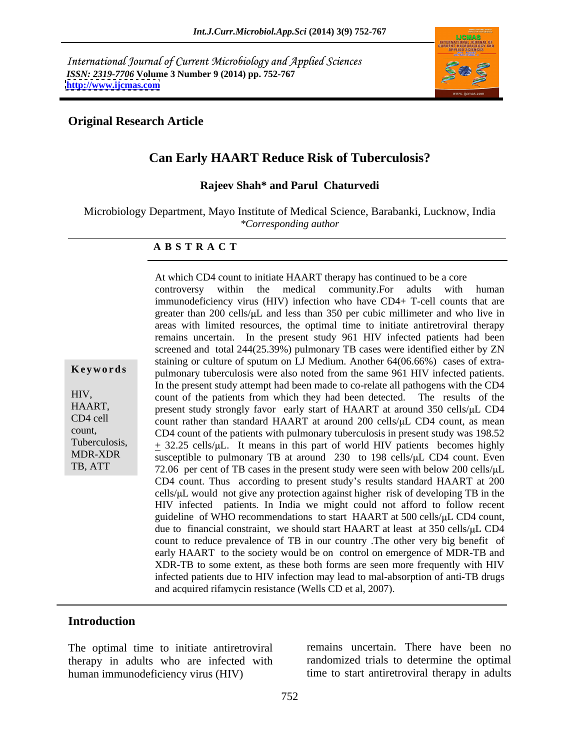International Journal of Current Microbiology and Applied Sciences *ISSN: 2319-7706* **Volume 3 Number 9 (2014) pp. 752-767 <http://www.ijcmas.com>**



### **Original Research Article**

# **Can Early HAART Reduce Risk of Tuberculosis?**

**Rajeev Shah\* and Parul Chaturvedi**

Microbiology Department, Mayo Institute of Medical Science, Barabanki, Lucknow, India *\*Corresponding author* 

At which CD4 count to initiate HAART therapy has continued to be a core

#### **A B S T R A C T**

**Keywords** pulmonary tuberculosis were also noted from the same 961 HIV infected patients. HIV, count of the patients from which they had been detected. The results of the HAART, present study strongly favor early start of HAART at around 350 cells/µL CD4 CD4 cell count rather than standard HAART at around 200 cells/ $\mu$ L CD4 count, as mean count, CD4 count of the patients with pulmonary tuberculosis in present study was 198.52 Tuberculosis,  $\pm$  32.25 cells/ $\mu$ L. It means in this part of world HIV patients becomes highly MDR-XDR  $\overline{\phantom{a}}$  susceptible to pulmonary TB at around 230 to 198 cells/ $\mu$ L CD4 count. Even TB, ATT  $\overline{72.06}$  per cent of TB cases in the present study were seen with below 200 cells/ $\mu$ L controversy within the medical community.For adults with human immunodeficiency virus (HIV) infection who have CD4+ T-cell counts that are greater than 200 cells/ $\mu$ L and less than 350 per cubic millimeter and who live in areas with limited resources, the optimal time to initiate antiretroviral therapy remains uncertain. In the present study 961 HIV infected patients had been screened and total 244(25.39%) pulmonary TB cases were identified either by ZN staining or culture of sputum on LJ Medium. Another 64(06.66%) cases of extra- In the present study attempt had been made to co-relate all pathogens with the CD4 CD4 count. Thus according to present study's results standard HAART at 200 cells/ $\mu$ L would not give any protection against higher risk of developing TB in the HIV infected patients. In India we might could not afford to follow recent guideline of WHO recommendations to start HAART at 500 cells/ $\mu$ L CD4 count, due to financial constraint, we should start HAART at least at 350 cells/µL CD4 count to reduce prevalence of TB in our country .The other very big benefit of early HAART to the society would be on control on emergence of MDR-TB and XDR-TB to some extent, as these both forms are seen more frequently with HIV infected patients due to HIV infection may lead to mal-absorption of anti-TB drugs and acquired rifamycin resistance (Wells CD et al, 2007).

### **Introduction**

The optimal time to initiate antiretroviral therapy in adults who are infected with human immunodeficiency virus (HIV) time to start antiretroviral therapy in adults

remains uncertain. There have been no randomized trials to determine the optimal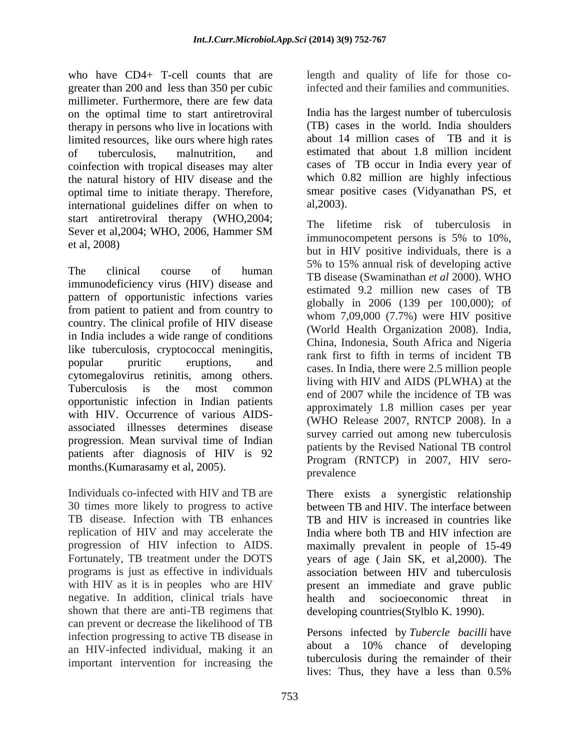who have CD4+ T-cell counts that are length and quality of life for those cogreater than 200 and less than 350 per cubic millimeter. Furthermore, there are few data on the optimal time to start antiretroviral therapy in persons who live in locations with limited resources, like ours where high rates coinfection with tropical diseases may alter the natural history of HIV disease and the optimal time to initiate therapy. Therefore, smear pointernational guidelines differ on when to al.2003). international guidelines differ on when to start antiretroviral therapy (WHO,2004;

immunodeficiency virus (HIV) disease and pattern of opportunistic infections varies from patient to patient and from country to country. The clinical profile of HIV disease in India includes a wide range of conditions like tuberculosis, cryptococcal meningitis, cytomegalovirus retinitis, among others. opportunistic infection in Indian patients with HIV. Occurrence of various AIDS associated illnesses determines disease progression. Mean survival time of Indian patients after diagnosis of HIV is 92 months.(Kumarasamy et al, 2005).

TB disease. Infection with TB enhances negative. In addition, clinical trials have bealth and socioeconomic threat in shown that there are anti-TB regimens that can prevent or decrease the likelihood of TB infection progressing to active TB disease in an HIV-infected individual, making it an important intervention for increasing the

infected and their families and communities.

of tuberculosis, malnutrition, and estimated that about 1.8 million incident India has the largest number of tuberculosis (TB) cases in the world. India shoulders about 14 million cases of TB and it is cases of TB occur in India every year of which  $0.82$  million are highly infectious smear positive cases (Vidyanathan PS, et al,2003).

Sever et al, 2004; WHO, 2006, Hammer SM mediation organisation organisation of the contractors of the 100% et al,  $2008$ ) but in HIV positive individuals, there is a The clinical course of human<br>
TB disease (Swaminathan *et al 2000*). WHO popular pruritic eruptions, and rains to their metals of includent in Tuberculosis is the most common  $\frac{1}{2}$  and  $\frac{1}{2}$   $\frac{1}{2}$  while the incidence of TP week The lifetime risk of tuberculosis in immunocompetent persons is 5% to 10%, 5% to 15% annual risk of developing active estimated 9.2 million new cases of TB globally in 2006 (139 per 100,000); of whom 7,09,000 (7.7%) were HIV positive (World Health Organization 2008). India, China, Indonesia, South Africa and Nigeria rank first to fifth in terms of incident TB cases. In India, there were 2.5 million people living with HIV and AIDS (PLWHA) at the end of 2007 while the incidence of TB was approximately 1.8 million cases per year (WHO Release 2007, RNTCP 2008). In a survey carried out among new tuberculosis patients by the Revised National TB control Program (RNTCP) in 2007, HIV sero prevalence **prevalence** 

Individuals co-infected with HIV and TB are There exists a synergistic relationship 30 times more likely to progress to active between TB and HIV. The interface between replication of HIV and may accelerate the India where both TB and HIV infection are progression of HIV infection to AIDS. In maximally prevalent in people of 15-49 Fortunately, TB treatment under the DOTS years of age (Jain SK, et al, 2000). The programs is just as effective in individuals association between HIV and tuberculosis with HIV as it is in peoples who are HIV present an immediate and grave public TB and HIV is increased in countries like maximally prevalent in people of 15-49 years of age ( Jain SK, et al,2000). The health and socioeconomic threat in developing countries(Stylblo K. 1990).

> Persons infected by *Tubercle bacilli* have about a 10% chance of developing tuberculosis during the remainder of their lives: Thus, they have a less than 0.5%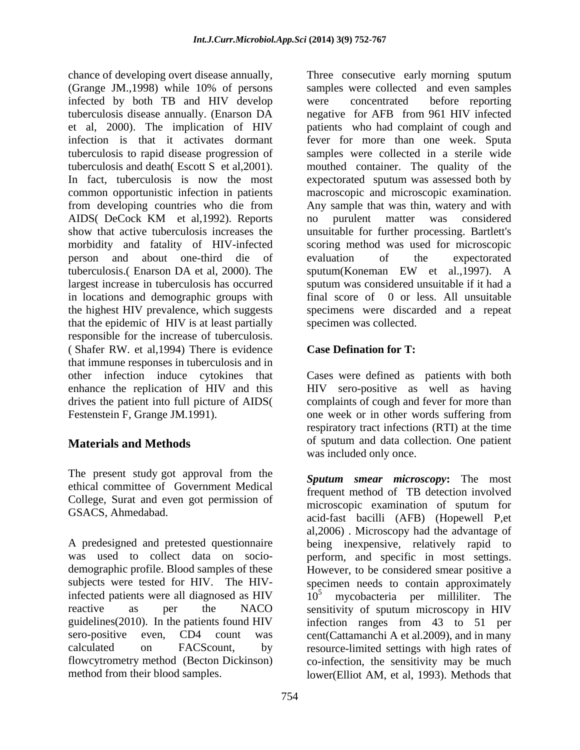(Grange JM.,1998) while 10% of persons infected by both TB and HIV develop person and about one-third die of tuberculosis.( Enarson DA et al, 2000). The in locations and demographic groups with the highest HIV prevalence, which suggests that the epidemic of HIV is at least partially responsible for the increase of tuberculosis. ( Shafer RW. et al,1994) There is evidence that immune responses in tuberculosis and in other infection induce cytokines that Cases were defined as patients with both enhance the replication of HIV and this HIV sero-positive as well as having drives the patient into full picture of AIDS(<br>Festenstein F, Grange JM.1991). Festenstein F, Grange JM.1991). one week or in other words suffering from

The present study got approval from the ethical committee of Government Medical College, Surat and even got permission of

chance of developing overt disease annually, Three consecutive early morning sputum tuberculosis disease annually. (Enarson DA negative for AFB from 961 HIV infected et al, 2000). The implication of HIV patients who had complaint of cough and infection is that it activates dormant fever for more than one week. Sputa tuberculosis to rapid disease progression of samples were collected in a sterile wide tuberculosis and death( Escott S et al,2001). mouthed container. The quality of the In fact, tuberculosis is now the most expectorated sputum was assessed both by common opportunistic infection in patients macroscopic and microscopic examination. from developing countries who die from Any sample that was thin, watery and with AIDS( DeCock KM et al,1992). Reports show that active tuberculosis increases the unsuitable for further processing. Bartlett's morbidity and fatality of HIV-infected scoring method was used for microscopic largest increase in tuberculosis has occurred sputum was considered unsuitable if it had a samples were collected and even samples were concentrated before reporting no purulent matter was considered evaluation of the expectorated sputum(Koneman EW et al.,1997). A final score of 0 or less. All unsuitable specimens were discarded and a repeat specimen was collected.

# **Case Defination for T:**

**Materials and Methods** of sputum and data collection. One patient complaints of cough and fever for more than respiratory tract infections (RTI) at the time was included only once.

GSACS, Ahmedabad. acid-fast bacilli (AFB) (Hopewell P,et A predesigned and pretested questionnaire being inexpensive, relatively rapid to was used to collect data on socio- perform, and specific in most settings. demographic profile. Blood samples of these However, to be considered smear positive a subjects were tested for HIV. The HIV-specimen needs to contain approximately infected patients were all diagnosed as  $HIV$   $10<sup>5</sup>$  mycobacteria per milliliter. The reactive as per the NACO sensitivity of sputum microscopy in HIV guidelines(2010). In the patients found HIV infection ranges from 43 to 51 per sero-positive even, CD4 count was cent(Cattamanchi A et al.2009), and in many calculated on FACScount, by resource-limited settings with high rates of flowcytrometry method (Becton Dickinson) co-infection, the sensitivity may be much method from their blood samples. lower(Elliot AM, et al, 1993). Methods that*Sputum smear microscopy***:** The most frequent method of TB detection involved microscopic examination of sputum for al,2006) . Microscopy had the advantage of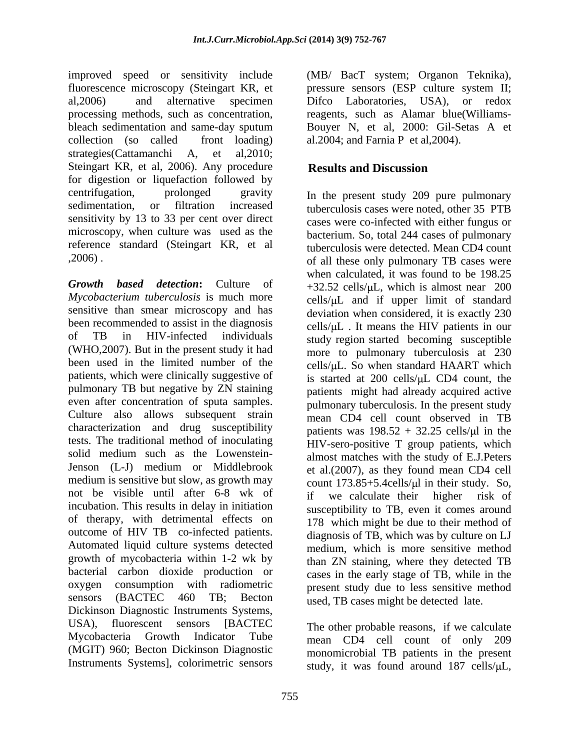improved speed or sensitivity include (MB/ BacT system; Organon Teknika), fluorescence microscopy (Steingart KR, et pressure sensors (ESP culture system II; al, 2006) and alternative specimen Difco Laboratories, USA), or redox processing methods, such as concentration, reagents, such as Alamar blue(Williams bleach sedimentation and same-day sputum collection (so called front loading) al.2004; and Farnia P et al,2004). strategies(Cattamanchi A, et al,2010; Steingart KR, et al, 2006). Any procedure **Results and Discussion** for digestion or liquefaction followed by centrifugation, prolonged gravity In the present study 209 pure pulmonary sensitivity by 13 to 33 per cent over direct reference standard (Steingart KR, et al

*Growth based detection***:** Culture of  $+32.52$  cells/ $\mu$ L, which is almost near 200 Mycobacterium tuberculosis is much more cells/ $\mu$ L and if upper limit of standard sensitive than smear microscopy and has been recommended to assist in the diagnosis of TB in HIV-infected individuals study region started becoming susceptible (WHO,2007). But in the present study it had been used in the limited number of the cells/ $\mu$ L. So when standard HAART which patients, which were clinically suggestive of pulmonary TB but negative by ZN staining even after concentration of sputa samples. Culture also allows subsequent strain characterization and drug susceptibility tests. The traditional method of inoculating solid medium such as the Lowenstein- Jenson (L-J) medium or Middlebrook et al.(2007), as they found mean CD4 cell medium is sensitive but slow, as growth may not be visible until after 6-8 wk of if we calculate their higher risk of incubation. This results in delay in initiation of therapy, with detrimental effects on outcome of HIV TB co-infected patients. diagnosis of TB, which was by culture on LJ Automated liquid culture systems detected growth of mycobacteria within 1-2 wk by bacterial carbon dioxide production or oxygen consumption with radiometric present study due to less sensitive method sensors (BACTEC 460 TB; Becton used, TB cases might be detected late. Dickinson Diagnostic Instruments Systems, USA), fluorescent sensors [BACTEC The other probable reasons, if we calculate Mycobacteria Growth Indicator Tube mean CD4 cell count of only 209 (MGIT) 960; Becton Dickinson Diagnostic Instruments Systems], colorimetric sensors

Difco Laboratories, USA), or redox Bouyer N, et al, 2000: Gil-Setas A et

# **Results and Discussion**

sedimentation, or filtration increased tuberculosis cases were noted, other 35 PTB microscopy, when culture was used as the bacterium. So, total 244 cases of pulmonary ,2006) . of all these only pulmonary TB cases were cases were co-infected with either fungus or tuberculosis were detected. Mean CD4 count when calculated, it was found to be 198.25 deviation when considered, it is exactly 230  $cells/ uL$ . It means the HIV patients in our more to pulmonary tuberculosis at 230 is started at  $200$  cells/ $\mu$ L CD4 count, the patients might had already acquired active pulmonary tuberculosis. In the present study mean CD4 cell count observed in TB patients was  $198.52 + 32.25$  cells/ $\mu$ l in the HIV-sero-positive T group patients, which almost matches with the study of E.J.Peters count  $173.85+5.4$ cells/ $\mu$ l in their study. So, if we calculate their higher risk of susceptibility to TB, even it comes around 178 which might be due to their method of medium, which is more sensitive method than ZN staining, where they detected TB cases in the early stage of TB, while in the

> monomicrobial TB patients in the present study, it was found around  $187$  cells/ $\mu$ L,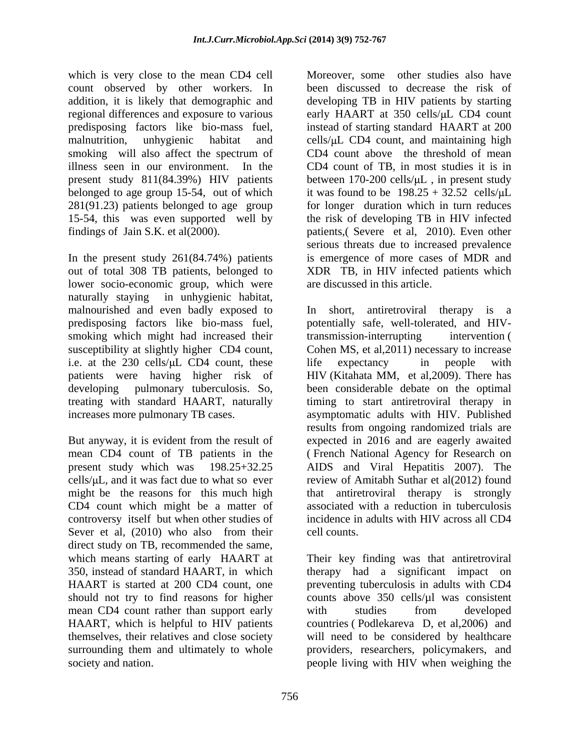which is very close to the mean CD4 cell count observed by other workers. In smoking will also affect the spectrum of illness seen in our environment. In the 281(91.23) patients belonged to age group

In the present study 261(84.74%) patients out of total 308 TB patients, belonged to XDR TB, in HIV infected patients which lower socio-economic group, which were naturally staying in unhygienic habitat, malnourished and even badly exposed to In short, antiretroviral therapy is a predisposing factors like bio-mass fuel, potentially safe, well-tolerated, and HIVsmoking which might had increased their transmission-interrupting intervention ( susceptibility at slightly higher CD4 count, Cohen MS, et al, 2011) necessary to increase i.e. at the  $230 \text{ cells/}\mu\text{L}$  CD4 count, these life expectancy in people with patients were having higher risk of HIV (Kitahata MM, et al,2009). There has developing pulmonary tuberculosis. So, been considerable debate on the optimal treating with standard HAART, naturally timing to start antiretroviral therapy in increases more pulmonary TB cases. asymptomatic adults with HIV. Published

But anyway, it is evident from the result of expected in 2016 and are eagerly awaited mean CD4 count of TB patients in the ( French National Agency for Research on present study which was 198.25+32.25 AIDS and Viral Hepatitis 2007). The cells/ $\mu$ L, and it was fact due to what so ever review of Amitabh Suthar et al(2012) found might be the reasons for this much high CD4 count which might be a matter of controversy itself but when other studies of Sever et al, (2010) who also from their cell counts. direct study on TB, recommended the same, should not try to find reasons for higher mean CD4 count rather than support early with studies from developed HAART, which is helpful to HIV patients

addition, it is likely that demographic and developing TB in HIV patients by starting regional differences and exposure to various early HAART at 350 cells/ $\mu$ L CD4 count predisposing factors like bio-mass fuel, instead of starting standard HAART at 200 malnutrition, unhygienic habitat and cells/µL CD4 count, and maintaining high present study 811(84.39%) HIV patients between 170-200 cells/ $\mu$ L, in present study belonged to age group 15-54, out of which it was found to be  $198.25 + 32.52$  cells/ $\mu$ L 15-54, this was even supported well by the risk of developing TB in HIV infected findings of Jain S.K. et al(2000). patients,( Severe et al, 2010).Even other Moreover, some other studies also have been discussed to decrease the risk of CD4 count above the threshold of mean CD4 count of TB, in most studies it is in for longer duration which in turn reduces serious threats due to increased prevalence is emergence of more cases of MDR and are discussed in this article.

> In short, antiretroviral therapy is a transmission-interrupting intervention ( life expectancy in people with results from ongoing randomized trials are that antiretroviral therapy is strongly associated with a reduction in tuberculosis incidence in adults with HIV across all CD4 cell counts.

which means starting of early HAART at Their key finding was that antiretroviral 350, instead of standard HAART, in which therapy had a significant impact on HAART is started at 200 CD4 count, one preventing tuberculosis in adults with CD4 themselves, their relatives and close society will need to be considered by healthcare surrounding them and ultimately to whole providers, researchers, policymakers, and society and nation. people living with HIV when weighing thecounts above 350 cells/µl was consistent with studies from developed countries ( Podlekareva D, et al,2006) and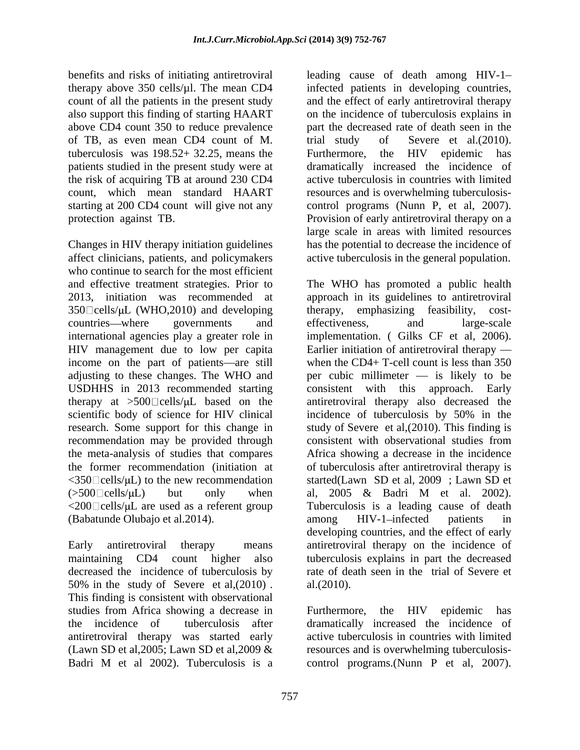count of all the patients in the present study above CD4 count 350 to reduce prevalence of TB, as even mean CD4 count of M. tuberculosis was 198.52+ 32.25, means the patients studied in the present study were at

Changes in HIV therapy initiation guidelines affect clinicians, patients, and policymakers who continue to search for the most efficient  $350 \text{°}$ cells/ $\mu$ L (WHO, 2010) and developing therapy, emphasizing feasibility, costinternational agencies play a greater role in implementation. (Gilks CF et al. 2006). HIV management due to low per capita Earlier initiation of antiretroviral therapy income on the part of patients—are still scientific body of science for HIV clinical incidence of tuberculosis by 50% in the recommendation may be provided through consistent with observational studies from  $\langle 350 \square$  cells/ $\mu$ L) to the new recommendation  $(500 \text{°C} \text{cells/µ})$  but only when al, 2005 & Badri M et al. 2002).  $\langle 200 \square$ cells/ $\mu$ L are used as a referent group (Babatunde Olubajo et al.2014).

50% in the study of Severe et al. (2010). al. (2010). This finding is consistent with observational studies from Africa showing a decrease in Furthermore, the HIV epidemic has the incidence of tuberculosis after dramatically increased the incidence of antiretroviral therapy was started early (Lawn SD et al,2005; Lawn SD et al,2009 & resources and is overwhelming tuberculosis- Badri M et al 2002). Tuberculosis is a control programs. (Nunn P et al, 2007).

benefits and risks of initiating antiretroviral leading cause of death among HIV-1 therapy above 350 cells/µl. The mean CD4 infected patients in developing countries, also support this finding of starting HAART on the incidence of tuberculosis explains in the risk of acquiring TB at around 230 CD4 active tuberculosis in countries with limited count, which mean standard HAART resourcesand is overwhelming tuberculosis starting at 200 CD4 count will give not any control programs (Nunn P, et al, 2007). protection against TB. Provision of early antiretroviral therapy on a and the effect of early antiretroviral therapy part the decreased rate of death seen in the trial study of Severe et al.(2010).<br>Furthermore, the HIV epidemic has dramatically increased the incidence of large scale in areas with limited resources has the potential to decrease the incidence of active tuberculosis in the general population.

and effective treatment strategies. Prior to The WHO has promoted a public health 2013, initiation was recommended at approach in its guidelines to antiretroviral countries—where governments and effectiveness, and large-scale adjusting to these changes. The WHO and per cubic millimeter — is likely to be USDHHS in 2013 recommended starting consistent with this approach. Early therapy at  $>500$  cells/ $\mu$ L based on the antiretroviral therapy also decreased the research. Some support for this change in study of Severe et al, (2010). This finding is the meta-analysis of studies that compares Africa showing a decrease in the incidence the former recommendation (initiation at of tuberculosis after antiretroviral therapy is Early antiretroviral therapy means antiretroviral therapy on the incidence of maintaining CD4 count higher also tuberculosis explains in part the decreased decreased the incidence of tuberculosis by rate of death seen in the trial of Severe et emphasizing feasibility, effectiveness, and large-scale implementation. ( Gilks CF et al, 2006).<br>Earlier initiation of antiretroviral therapy when the  $CD4+T$ -cell count is less than 350 incidence of tuberculosis by 50% in the consistent with observational studies from started(Lawn SD et al, 2009 ; Lawn SD et al, 2005 & Badri M et al. 2002). Tuberculosis is a leading cause of death among HIV-1-infected patients in developing countries, and the effect of early al.(2010).

> Furthermore, the HIV epidemic has active tuberculosis in countries with limited control programs.(Nunn P et al, 2007).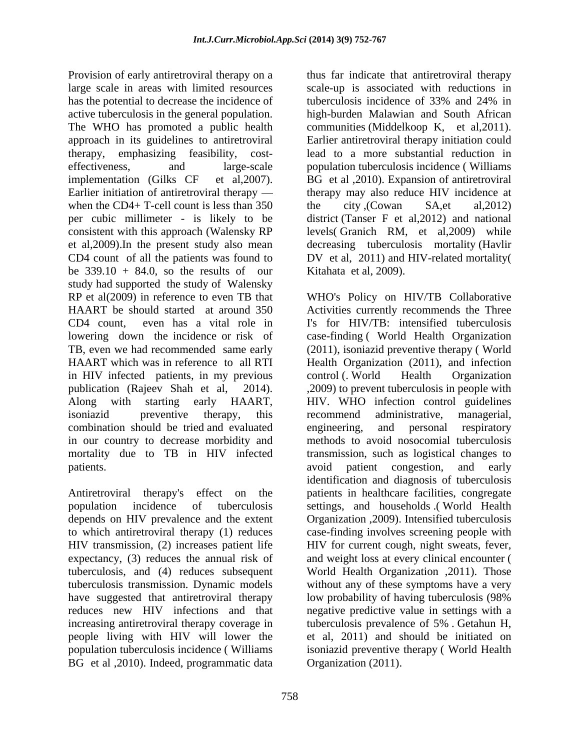Provision of early antiretroviral therapy on a thus far indicate that antiretroviral therapy large scale in areas with limited resources scale-up is associated with reductions in has the potential to decrease the incidence of tuberculosis incidence of 33% and 24% in active tuberculosis in the general population. high-burden Malawian and South African The WHO has promoted a public health communities (Middelkoop K, et al,2011). approach in its guidelines to antiretroviral Earlier antiretroviral therapy initiation could therapy, emphasizing feasibility, cost- lead to a more substantial reduction in effectiveness, and large-scale population tuberculosis incidence ( Williams implementation (Gilks CF et al,2007). BG et al ,2010). Expansion of antiretroviral Earlier initiation of antiretroviral therapy — therapy may also reduce HIV incidence at when the CD4+ T-cell count is less than  $350$  the city (Cowan SA,et al, 2012) per cubic millimeter - is likely to be district (Tanser F et al,2012) and national consistent with this approach (Walensky RP et al,2009).In the present study also mean decreasing tuberculosis mortality (Havlir CD4 count of all the patients was found to DV et al, 2011) and HIV-related mortality( be  $339.10 + 84.0$ , so the results of our study had supported the study of Walensky RP et al(2009) in reference to even TB that WHO's Policy on HIV/TB Collaborative HAART be should started at around 350 Activities currently recommends the Three CD4 count, even has a vital role in I's for HIV/TB: intensified tuberculosis lowering down the incidence or risk of case-finding (World Health Organization TB, even we had recommended same early (2011), isoniazid preventive therapy ( World HAART which was in reference to all RTI Health Organization (2011), and infection in HIV infected patients, in my previous publication (Rajeev Shah et al, 2014). ,2009) to prevent tuberculosis in people with Along with starting early HAART, HIV. WHO infection control guidelines isoniazid preventive therapy, this recommend administrative, managerial, combination should be tried and evaluated in our country to decrease morbidity and methods to avoid nosocomial tuberculosis mortality due to TB in HIV infected transmission, such as logistical changes to

depends on HIV prevalence and the extent have suggested that antiretroviral therapy low probability of having tuberculosis (98% people living with HIV will lower the BG et al ,2010). Indeed, programmatic data

tuberculosis incidence of 33% and 24% in the city ,(Cowan SA,et al,2012) levels( Granich RM, et al,2009) while Kitahata et al, 2009).

patients. The conservation of the patient consession, and early Antiretroviral therapy's effect on the patients in healthcare facilities, congregate population incidence of tuberculosis settings, and households .( World Health to which antiretroviral therapy (1) reduces case-finding involves screening people with HIV transmission, (2) increases patient life HIV for current cough, night sweats, fever, expectancy, (3) reduces the annual risk of and weight loss at every clinical encounter ( tuberculosis, and (4) reduces subsequent World Health Organization ,2011). Those tuberculosis transmission. Dynamic models without any of these symptoms have a very reduces new HIV infections and that negative predictive value in settings with a increasing antiretroviral therapy coverage in tuberculosis prevalence of 5% . Getahun H, population tuberculosis incidence ( Williams isoniazid preventive therapy ( World Health control (. World Health Organization recommend administrative, managerial, engineering, and personal respiratory avoid patient congestion, and early identification and diagnosis of tuberculosis Organization ,2009). Intensified tuberculosis low probability of having tuberculosis (98% et al, 2011) and should be initiated on Organization (2011).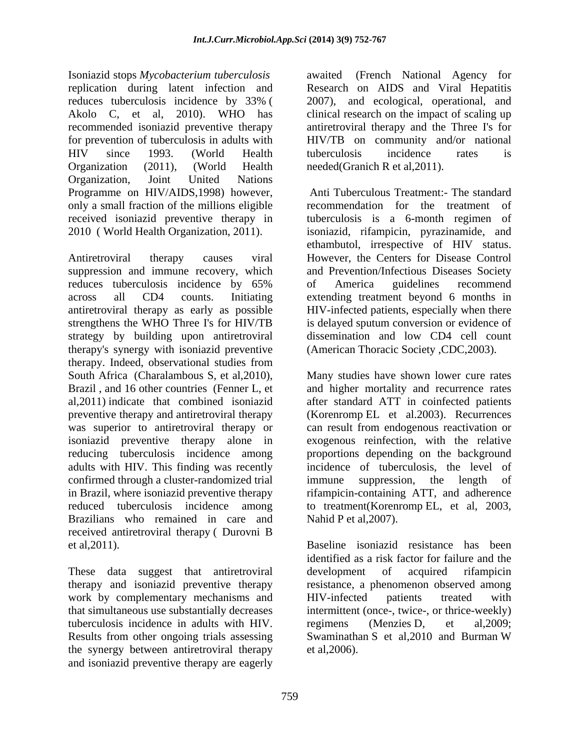Isoniazid stops *Mycobacterium tuberculosis* awaited (French National Agency for replication during latent infection and Research on AIDS and Viral Hepatitis reduces tuberculosis incidence by 33% ( 2007), and ecological, operational, and Akolo C, et al, 2010). WHO has clinical research on the impact of scaling up recommended isoniazid preventive therapy antiretroviral therapy and the Three I's for for prevention of tuberculosis in adults with HIV since 1993. (World Health Organization (2011), (World Health needed(Granich R et al, 2011). Organization, Joint United Nations Programme on HIV/AIDS,1998) however, only a small fraction of the millions eligible received isoniazid preventive therapy in

suppression and immune recovery, which reduces tuberculosis incidence by 65% of America guidelines recommend across all CD4 counts. Initiating extending treatment beyond 6 months in antiretroviral therapy as early as possible strengthens the WHO Three I's for HIV/TB is delayed sputum conversion or evidence of strategy by building upon antiretroviral therapy's synergy with isoniazid preventive therapy. Indeed, observational studies from South Africa (Charalambous S, et al,2010), Many studies have shown lower cure rates Brazil, and 16 other countries (Fenner L, et and higher mortality and recurrence rates al,2011) indicate that combined isoniazid preventive therapy and antiretroviral therapy (Korenromp EL et al.2003). Recurrences was superior to antiretroviral therapy or isoniazid preventive therapy alone in exogenous reinfection, with the relative reducing tuberculosis incidence among proportions depending on the background adults with HIV. This finding was recently confirmed through a cluster-randomized trial immune suppression, the length of in Brazil, where isoniazid preventive therapy reduced tuberculosis incidence among to treatment(Korenromp EL, et al, 2003, Brazilians who remained in care and Nahid P et al, 2007). received antiretroviral therapy ( Durovni B et al,2011). Baseline isoniazid resistance has been

These data suggest that antiretroviral development of acquired rifampicin therapy and isoniazid preventive therapy work by complementary mechanisms and HIV-infected patients treated with tuberculosis incidence in adults with HIV. regimens (Menzies D, et al, 2009; the synergy between antiretroviral therapy and isoniazid preventive therapy are eagerly

HIV/TB on community and/or national tuberculosis incidence rates is needed(Granich R et al,2011).

2010 ( World Health Organization, 2011). isoniazid, rifampicin, pyrazinamide, and<br>ethambutol, irrespective of HIV status.<br>Antiretroviral therapy causes viral However, the Centers for Disease Control Anti Tuberculous Treatment:- The standard recommendation for the treatment of tuberculosis is a 6-month regimen of isoniazid, rifampicin, pyrazinamide, and ethambutol, irrespective of HIV status. However, the Centers for Disease Control and Prevention/Infectious Diseases Society of America guidelines recommend HIV-infected patients, especially when there dissemination and low CD4 cell count (American Thoracic Society ,CDC,2003).

> after standard ATT in coinfected patients can result from endogenous reactivation or incidence of tuberculosis, the level of immune suppression, the length of rifampicin-containing ATT, and adherence Nahid P et al, 2007).

that simultaneous use substantially decreases intermittent (once-, twice-, or thrice-weekly) Results from other ongoing trials assessing Swaminathan S et al,2010 and Burman W identified as a risk factor for failure and the development of acquired rifampicin resistance, a phenomenon observed among HIV-infected patients treated with regimens (Menzies D, et al,2009; et al,2006).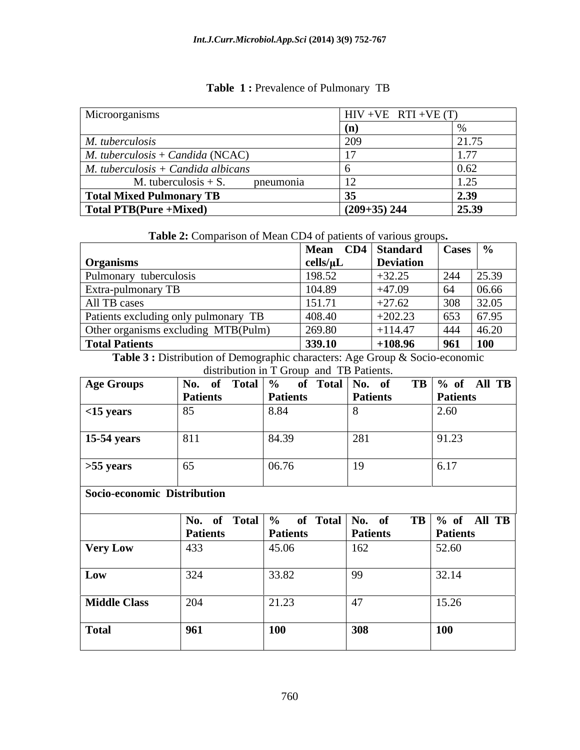| Microorganisms                                           | $HIV + VE RTI + VE(T)$ |                                |
|----------------------------------------------------------|------------------------|--------------------------------|
|                                                          |                        |                                |
| M. tuberculosis                                          |                        | $\sqrt{1.75}$<br>$\angle 1.1J$ |
| $M.$ tuberculosis + Candida (NCAC)                       |                        |                                |
| $\big $ <i>M. tuberculosis</i> + <i>Candida albicans</i> |                        |                                |
| M. tuberculosis $+ S$ . pneumonia                        |                        |                                |
| Total Mixed Pulmonary TB                                 |                        | <b>⁄</b>                       |
| Total PTB(Pure +Mixed)                                   | $(209+35)$ 244         | $\overline{25.39}$             |

## Table 1: Prevalence of Pulmonary TB

**Table 2:** Comparison of Mean CD4 of patients of various groups**.**

|                                      | Mean CD4   Standard   Cases   % |             |                          |
|--------------------------------------|---------------------------------|-------------|--------------------------|
| Organish.                            |                                 | ∣ Deviation |                          |
| Pulmonary tuberculosis               |                                 | $+32.25$    | $\overline{z}$<br>244    |
| <b>Extra-pulmonary TB</b>            |                                 | $+47.09$    | $\overline{A}$<br>106.66 |
| All TB cases                         | 15171                           | $+27.62$    | 308 32.05                |
| Patients excluding only pulmonary TB | 408.4                           | $+202.23$   | -653                     |
| Other organisms excluding MTB(Pulm)  | 269.80                          | $+114.47$   | $1444$ $146.20$          |
| Total Patients                       | 339.10                          | $+108.96$   | 961 100                  |

Table 3 : Distribution of Demographic characters: Age Group & Socio-economic distribution in T Group and TB Patients.

| <b>Age Groups</b>  |          |       | of Total % of Total No. of TB % of All TB<br>Patients Patients Patients |
|--------------------|----------|-------|-------------------------------------------------------------------------|
|                    | Patients |       |                                                                         |
| $<$ 15 years       |          |       |                                                                         |
| <b>15-54 years</b> | 811      | 84.39 | 1.4J                                                                    |
| $>55$ years        |          | UU.7U |                                                                         |

**Socio-economic Distribution** 

|                     |                 |                 |                 | No. of Total % of Total No. of TB % of All TB |
|---------------------|-----------------|-----------------|-----------------|-----------------------------------------------|
|                     | <b>Patients</b> | <b>Patients</b> | <b>Patients</b> | <b>Patients</b>                               |
| <b>Very Low</b>     | $ 433\rangle$   | 45.06           | 162             | 52.60                                         |
|                     |                 | 33.82           |                 | 22.14                                         |
| <b>Middle Class</b> |                 | 21.23           |                 | 15.26                                         |
| <b>Total</b>        |                 |                 |                 | 100                                           |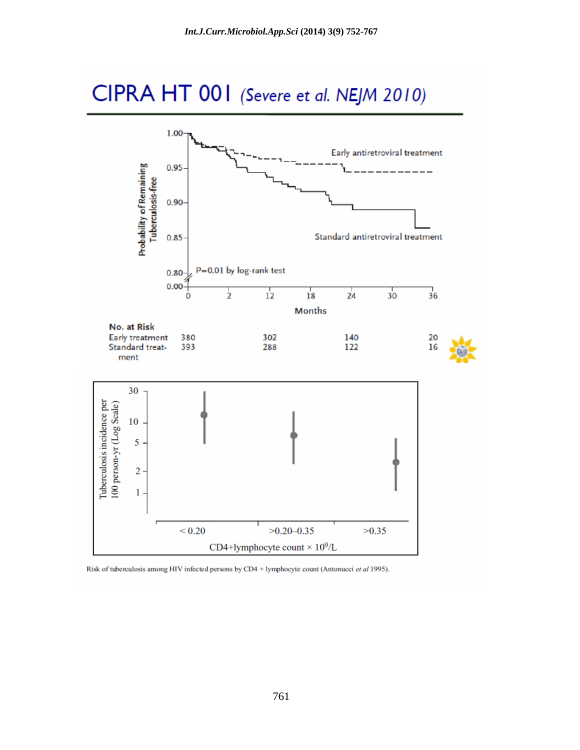# CIPRA HT 001 (Severe et al. NEJM 2010)



Risk of tuberculosis among HIV infected persons by CD4 + lymphocyte count (Antonucci et al 1995).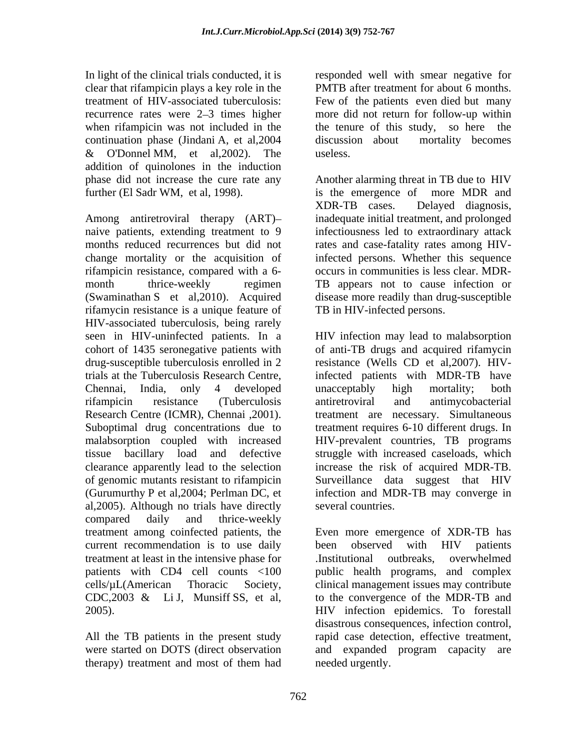In light of the clinical trials conducted, it is clear that rifampicin plays a key role in the when rifampicin was not included in the continuation phase (Jindani A, et al,2004 & O'Donnel MM, et al,2002). The addition of quinolones in the induction further (El Sadr WM, et al, 1998). is the emergence of more MDR and

Among antiretroviral therapy (ART) naive patients, extending treatment to 9 infectiousness led to extraordinary attack months reduced recurrences but did not rates and case-fatality rates among HIVchange mortality or the acquisition of infected persons. Whether this sequence rifampicin resistance, compared with a 6- occurs in communities is less clear. MDR month thrice-weekly regimen TB appears not to cause infection or (Swaminathan S et al,2010). Acquired disease more readily than drug-susceptible rifamycin resistance is a unique feature of HIV-associated tuberculosis, being rarely drug-susceptible tuberculosis enrolled in 2 clearance apparently lead to the selection al,2005). Although no trials have directly compared daily and thrice-weekly current recommendation is to use daily been observed with HIV patients treatment at least in the intensive phase for

treatment of HIV-associated tuberculosis: Few of the patients even died but many recurrence rates were 2–3 times higher more did not return for follow-up within responded well with smear negative for PMTB after treatment for about 6 months. the tenure of this study, so here the discussion about mortality becomes useless.

phase did not increase the cure rate any Another alarming threat in TB due to HIV is the emergence of more MDR and XDR-TB cases. Delayed diagnosis, inadequate initial treatment, and prolonged TB in HIV-infected persons.

seen in HIV-uninfected patients. In a HIV infection may lead to malabsorption cohort of 1435 seronegative patients with of anti-TB drugs and acquired rifamycin trials at the Tuberculosis Research Centre, infected patients with MDR-TB have Chennai, India, only 4 developed rifampicin resistance (Tuberculosis Research Centre (ICMR), Chennai ,2001). treatment are necessary. Simultaneous Suboptimal drug concentrations due to treatment requires 6-10 different drugs. In malabsorption coupled with increased HIV-prevalent countries,TB programs tissue bacillary load and defective struggle with increased caseloads, which of genomic mutants resistant to rifampicin Surveillance data suggest that HIV (Gurumurthy P et al,2004; Perlman DC, et infection and MDR-TB may converge in resistance (Wells CD et al,2007). HIVunacceptably high mortality; both antiretroviral and antimycobacterial increase the risk of acquired MDR-TB. several countries.

treatment among coinfected patients, the Even more emergence of XDR-TB has patients with CD4 cell counts <100 public health programs, and complex cells/µL(American Thoracic Society, clinical management issues may contribute CDC,2003 & Li J, Munsiff SS, et al, to the convergence of the MDR-TB and  $HIV$  infection epidemics. To forestall All the TB patients in the present study rapid case detection, effective treatment, were started on DOTS (direct observation and expanded program capacity are therapy) treatment and most of them had been observed with HIV patients .Institutional outbreaks, overwhelmed to the convergence of the MDR-TB and HIV infection epidemics. To forestall disastrous consequences, infection control, needed urgently.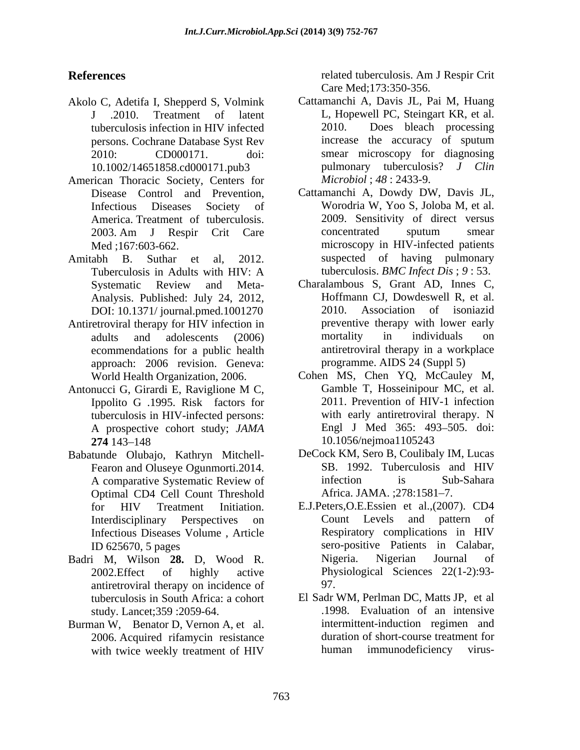- Akolo C, Adetifa I, Shepperd S, Volmink
- American Thoracic Society, Centers for
- Tuberculosis in Adults with HIV: A tuberculosis. *BMC Infect Dis*; 9:53. DOI: 10.1371/ journal.pmed.1001270
- Antiretroviral therapy for HIV infection in ecommendations for a public health approach: 2006 revision. Geneva:
- Ippolito G .1995. Risk factors for A prospective cohort study; *JAMA*
- Babatunde Olubajo, Kathryn Mitchell-<br>
Eearon and Oluseve Ogunmorti.2014. SB. 1992. Tuberculosis and HIV Fearon and Oluseye Ogunmorti.2014. Optimal CD4 Cell Count Threshold Africa. JAMA. ;278:1581-7.
- antiretroviral therapy on incidence of 97. tuberculosis in South Africa: a cohort
- Burman W, Benator D, Vernon A, et al. 2006. Acquired rifamycin resistance

**References** The related tuberculosis. Am J Respir Crit related tuberculosis. Am J Respir Crit Care Med;173:350-356.

- J .2010. Treatment of latent L, Hopewell PC, Steingart KR, et al. tuberculosis infection in HIV infected persons. Cochrane Database Syst Rev 2010: CD000171. doi: smear microscopy for diagnosing 10.1002/14651858.cd000171.pub3 pulmonary tuberculosis? *J Clin* Cattamanchi A, Davis JL, Pai M, Huang 2010. Does bleach processing increase the accuracy of sputum *Microbiol* ; *48* : 2433-9.
- Disease Control and Prevention, Cattamanchi A, Dowdy DW, Davis JL, Infectious Diseases Society of Worodria W, Yoo S, Joloba M, et al. America. Treatment of tuberculosis. 2009. Sensitivity of direct versus 2003. Am J Respir Crit Care Med ;167:603-662. microscopy in HIV-infected patients Amitabh B. Suthar et al, 2012. Suspected of having pulmonary concentrated sputum smear tuberculosis. *BMC Infect Dis* ; *9* : 53.
	- Systematic Review and Meta- Charalambous S, Grant AD, Innes C, Analysis. Published: July 24, 2012, Hoffmann CJ, Dowdeswell R, et al.<br>DOI: 10.1371/ journal pmed 1001270 2010. Association of isoniazid adults and adolescents (2006) mortality in individuals on Charalambous S, Grant AD, Innes C, Hoffmann CJ, Dowdeswell R, et al. 2010. Association of isoniazid preventive therapy with lower early mortality in individuals on antiretroviral therapy in a workplace programme. AIDS 24 (Suppl 5)
- World Health Organization, 2006. Cohen MS, Chen YQ, McCauley M, Antonucci G, Girardi E, Raviglione M C, tuberculosis in HIV-infected persons: with early antiretroviral therapy. N **274** 143–148 **10.1056/nejmoa1105243** Gamble T, Hosseinipour MC, et al. 2011. Prevention of HIV-1 infection with early antiretroviral therapy. N Engl J Med 365: 493–505. doi: 10.1056/nejmoa1105243
	- A comparative Systematic Review of the infection is Sub-Sahara DeCock KM, Sero B, Coulibaly IM, Lucas SB. 1992. Tuberculosis and HIV infection is Sub-Sahara Africa. JAMA. ;278:1581–7.
- for HIV Treatment Initiation. E.J.Peters,O.E.Essien et al.,(2007). CD4<br>Interdisciplinary Perspectives on Count Levels and pattern of Infectious Diseases Volume, Article Respiratory complications in HIV ID 625670, 5 pages sero-positive Patients in Calabar, Badri M, Wilson **28.** D, Wood R. 2002.Effect of highly active Physiological Sciences 22(1-2):93- E.J.Peters, O.E.Essien et al., (2007). CD4 Count Levels and pattern of Respiratory complications in HIV Nigeria. Nigerian Journal of 97.
	- study. Lancet;359 :2059-64. .1998. Evaluation of an intensive with twice weekly treatment of HIV human immunodeficiency virus-El Sadr WM, Perlman DC, Matts JP, et al intermittent-induction regimen and duration of short-course treatment for human immunodeficiency virus-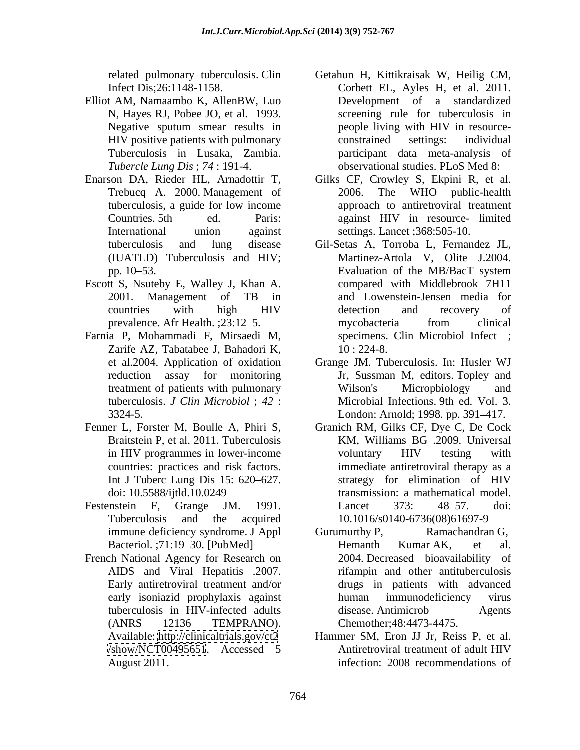- Elliot AM, Namaambo K, AllenBW, Luo Tuberculosis in Lusaka, Zambia.
- 
- Escott S, Nsuteby E, Walley J, Khan A.
- Farnia P, Mohammadi F, Mirsaedi M, Zarife AZ, Tabatabee J, Bahadori K,
- 
- 
- French National Agency for Research on (ANRS 12136 TEMPRANO).
- related pulmonary tuberculosis. Clin Getahun H, Kittikraisak W, Heilig CM, Infect Dis;26:1148-1158. Corbett EL, Ayles H, et al. 2011. N, Hayes RJ, Pobee JO, et al. 1993. Screening rule for tuberculosis in Negative sputum smear results in people living with HIV in resource-HIV positive patients with pulmonary constrained settings: individual *Tubercle Lung Dis* ; *74* : 191-4. observational studies. PLoS Med 8: Development of a standardized people living with HIV in resource constrained settings: individual participant data meta-analysis of
- Enarson DA, Rieder HL, Arnadottir T, Gilks CF, Crowley S, Ekpini R, et al. Trebucq A. 2000. Management of 2006. The WHO public-health tuberculosis, a guide for low income Countries. 5th ed. Paris: against HIV in resource- limited International union against settings. Lancet ;368:505-10. 2006. The WHO public-health approach to antiretroviral treatment
	- tuberculosis and lung disease Gil-Setas A, Torroba L, Fernandez JL, (IUATLD) Tuberculosis and HIV; Martinez-Artola V, Olite J.2004. pp. 10–53. Evaluation of the MB/BacT system 2001. Management of TB in and Lowenstein-Jensen media for countries with high HIV prevalence. Afr Health. ; 23:12–5. mycobacteria from clinical Evaluation of the MB/BacT system compared with Middlebrook 7H11 and Lowenstein-Jensen media for detection and recovery of mycobacteria from clinical specimens. Clin Microbiol Infect ; 10 : 224-8.
	- et al.2004. Application of oxidation Grange JM. Tuberculosis. In: Husler WJ reduction assay for monitoring Jr, Sussman M, editors. Topley and treatment of patients with pulmonary Wilson's Microphiology and tuberculosis. *J Clin Microbiol* ; *42* : Microbial Infections. 9th ed. Vol. 3. 3324-5. London: Arnold; 1998. pp. 391 417. Wilson's Micropbiology and
- Fenner L, Forster M, Boulle A, Phiri S, Granich RM, Gilks CF, Dye C, De Cock Braitstein P, et al. 2011. Tuberculosis KM, Williams BG .2009. Universal in HIV programmes in lower-income voluntary HIV testing with countries: practices and risk factors. immediate antiretroviral therapy as a Int J Tuberc Lung Dis 15: 620–627. strategy for elimination of HIV doi: 10.5588/ijtld.10.0249 transmission: a mathematical model. Festenstein F, Grange JM. 1991. Lancet 373: 48–57. doi: Tuberculosis and the acquired 10.1016/s0140-6736(08)61697-9 voluntary HIV testing with strategy for elimination of HIV Lancet 373: 48–57. doi:
	- immune deficiency syndrome. J Appl Gurumurthy P, Ramachandran G, Bacteriol. ;71:19-30. [PubMed] Hemanth Kumar AK, et al. AIDS and Viral Hepatitis .2007. rifampin and other antituberculosis Early antiretroviral treatment and/or drugs in patients with advanced early isoniazid prophylaxis against tuberculosis in HIV-infected adults Gurumurthy P, Ramachandran G, Hemanth Kumar AK, et al. 2004. Decreased bioavailability of human immunodeficiency virus disease. Antimicrob Agents Chemother;48:4473-4475.
	- Available: <http://clinicaltrials.gov/ct2> Hammer SM, Eron JJ Jr, Reiss P, et al. </show/NCT00495651>. Accessed 5 August 2011. infection: 2008 recommendations ofAntiretroviral treatment of adult HIV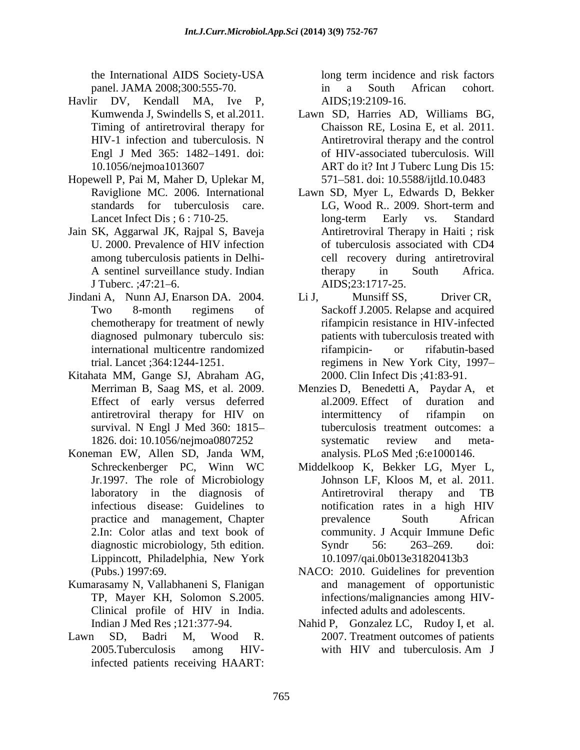the International AIDS Society-USA panel. JAMA 2008;300:555-70.  $\qquad \qquad$  in a South African cohort.

- Havlir DV, Kendall MA, Ive P, Timing of antiretroviral therapy for
- Hopewell P, Pai M, Maher D, Uplekar M,
- Jain SK, Aggarwal JK, Rajpal S, Baveja
- Jindani A, Nunn AJ, Enarson DA. 2004. Li J, Munsiff SS. Driver CR. diagnosed pulmonary tuberculo sis:
- Kitahata MM, Gange SJ, Abraham AG,
- Koneman EW, Allen SD, Janda WM, Lippincott, Philadelphia, New York
- Kumarasamy N, Vallabhaneni S, Flanigan
- infected patients receiving HAART:

long term incidence and risk factors in a South African cohort. AIDS;19:2109-16.

- Kumwenda J, Swindells S, et al.2011. Lawn SD, Harries AD, Williams BG, HIV-1 infection and tuberculosis. N Antiretroviral therapy and the control Engl J Med 365: 1482–1491. doi: of HIV-associated tuberculosis. Will 10.1056/nejmoa1013607 ART do it? Int J Tuberc Lung Dis 15: Chaisson RE, Losina E, et al. 2011. Antiretroviral therapy and the control 571 581. doi: 10.5588/ijtld.10.0483
- Raviglione MC. 2006. International Lawn SD, Myer L, Edwards D, Bekker standards for tuberculosis care. LG, Wood R., 2009. Short-term and Lancet Infect Dis; 6:710-25. Iong-term Early vs. Standard U. 2000. Prevalence of HIV infection of tuberculosis associated with CD4 among tuberculosis patients in Delhi- cell recovery during antiretroviral A sentinel surveillance study. Indian therapy in South Africa. J Tuberc. ;47:21–6. AIDS;23:1717-25. LG, Wood R.. 2009. Short-term and long-term Early vs. Standard Antiretroviral Therapy in Haiti ; risk of tuberculosis associated with CD4 therapy in South Africa. AIDS;23:1717-25.
- Two 8-month regimens of Sackoff J.2005. Relapse and acquired chemotherapy for treatment of newly rifampicin resistance in HIV-infected international multicentre randomized rifampicin- or rifabutin-based trial. Lancet ;364:1244-1251. regimens in New York City, 1997 Li J, Munsiff SS, Driver CR, patients with tuberculosis treated with rifampicin- or rifabutin-based 2000. Clin Infect Dis ;41:83-91.
- Merriman B, Saag MS, et al. 2009. Menzies D, Benedetti A, Paydar A, et Effect of early versus deferred al.2009. Effect of duration and antiretroviral therapy for HIV on survival. N Engl J Med 360: 1815– tuberculosis treatment outcomes: a 1826. doi: 10.1056/nejmoa0807252 al.2009. Effect of duration and intermittency of rifampin on systematic review and meta analysis. PLoS Med ;6:e1000146.
- Schreckenberger PC, Winn WC Middelkoop K, Bekker LG, Myer L, Jr.1997. The role of Microbiology Johnson LF, Kloos M, et al. 2011. laboratory in the diagnosis of **Antitler Anticular** Anticular Anticonsis Anticonsistent and TB infectious disease: Guidelines to notification rates in a high HIV practice and management, Chapter **prevalence** South African 2.In: Color atlas and text book of community. J Acquir Immune Defic diagnostic microbiology, 5th edition. Syndr 56: 263–269. doi: Antiretroviral therapy and TB prevalence South African Syndr 56: 263–269. doi: 10.1097/qai.0b013e31820413b3
- (Pubs.) 1997:69. NACO: 2010. Guidelines for prevention TP, Mayer KH, Solomon S.2005. infections/malignancies among HIV-Clinical profile of HIV in India. and management of opportunistic infected adults and adolescents.
- Indian J Med Res ;121:377-94. Nahid P, Gonzalez LC, Rudoy I, et al.<br>Lawn SD, Badri M, Wood R. 2007. Treatment outcomes of patients 2005.Tuberculosis among HIV-Nahid P, Gonzalez LC, Rudoy I, et al. 2007. Treatment outcomes of patients with HIV and tuberculosis. Am J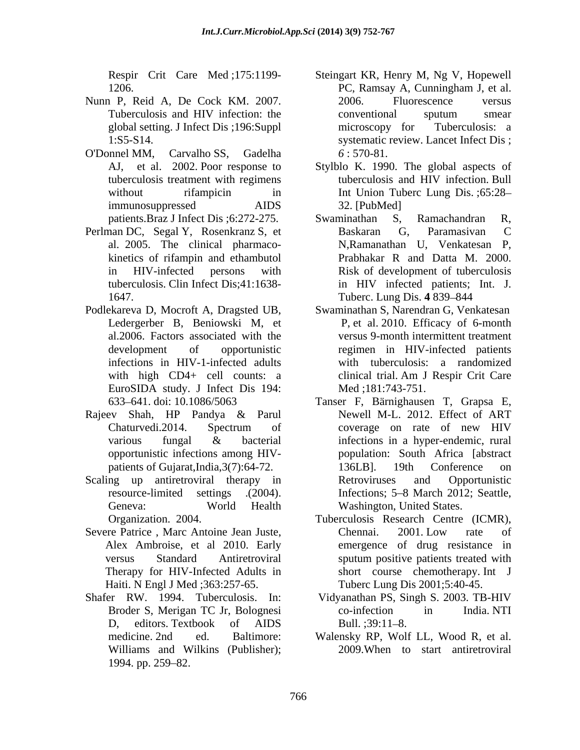- Nunn P, Reid A, De Cock KM. 2007.
- O'Donnel MM, Carvalho SS, Gadelha
- Perlman DC, Segal Y, Rosenkranz S, et al. 2005. The clinical pharmaco-
- Podlekareva D, Mocroft A, Dragsted UB, Swaminathan S, Narendran G, Venkatesan Ledergerber B, Beniowski M, et al.2006. Factors associated with the EuroSIDA study. J Infect Dis 194: Med :181:743-751.
- Rajeev Shah, HP Pandya & Parul
- 
- Severe Patrice, Marc Antoine Jean Juste,  $\qquad \qquad$  Chennai. 2001. Low rate of Alex Ambroise, et al 2010. Early Therapy for HIV-Infected Adults in Haiti. N Engl J Med ;363:257-65.
- D, editors. Textbook of AIDS Bull. :39:11-8. Williams and Wilkins (Publisher); 1994. pp. 259–82.
- Respir Crit Care Med ;175:1199- Steingart KR, Henry M, Ng V, Hopewell 1206. PC, Ramsay A, Cunningham J, et al. Tuberculosis and HIV infection: the conventional sputum smear global setting. J Infect Dis ;196:Suppl 1:S5-S14. systematic review. Lancet Infect Dis ; PC, Ramsay A, Cunningham J, et al. 2006. Fluorescence versus conventional sputum smear microscopy for Tuberculosis: a *6* : 570-81.
- AJ, et al. 2002. Poor response to Stylblo K. 1990. The global aspects of tuberculosis treatment with regimens tuberculosis and HIV infection. Bull without rifampicin in Int Union Tuberc Lung Dis. ;65:28– immunosuppressed AIDS tuberculosis and HIV infection. Bull 32. [PubMed]
- patients.Braz J Infect Dis ; 6:272-275. Swaminathan S, Ramachandran R, kinetics of rifampin and ethambutol **Prabhakar R** and Datta M. 2000. in HIV-infected persons with Risk of development of tuberculosis tuberculosis. Clin Infect Dis;41:1638- in HIV infected patients; Int. J. 1647. Tuberc. Lung Dis. 4 839–844 Swaminathan S, Ramachandran R, Baskaran G, Paramasivan C N,Ramanathan U, Venkatesan P, Prabhakar R and Datta M. 2000.
- development of opportunistic regimen in HIV-infected patients infections in HIV-1-infected adults with tuberculosis: a randomized with high CD4+ cell counts: a clinical trial. Am J Respir Crit Care P, et al. 2010. Efficacy of 6-month versus 9-month intermittent treatment Med ;181:743-751.
- 633 641. doi: 10.1086/5063 Tanser F, Bärnighausen T, Grapsa E, Chaturvedi.2014. Spectrum of various fungal & bacterial infections in a hyper-endemic, rural opportunistic infections among HIV- population: South Africa [abstract patients of Gujarat,India, 3(7): 64-72. 136LB. 19th Conference on Scaling up antiretroviral therapy in Retroviruses and Opportunistic resource-limited settings .(2004). Infections; 5–8 March 2012; Seattle, Geneva: World Health Washington, United States. Newell M-L. 2012. Effect of ART coverage on rate of new HIV 136LB]. 19th Conference on Retroviruses and Opportunistic Washington, United States.
	- Organization. 2004. Tuberculosis Research Centre (ICMR), versus Standard Antiretroviral sputum positive patients treated with Chennai. 2001. Low rate of emergence of drug resistance in short course chemotherapy. Int J Tuberc Lung Dis 2001;5:40-45.
- Shafer RW. 1994. Tuberculosis. In: Vidyanathan PS, Singh S. 2003. TB-HIV Broder S, Merigan TC Jr, Bolognesi co-infection in India. NTI Bull.  $;39:11-8$ .
	- medicine. 2nd ed. Baltimore: Walensky RP, Wolf LL, Wood R, et al. 2009.When to start antiretroviral